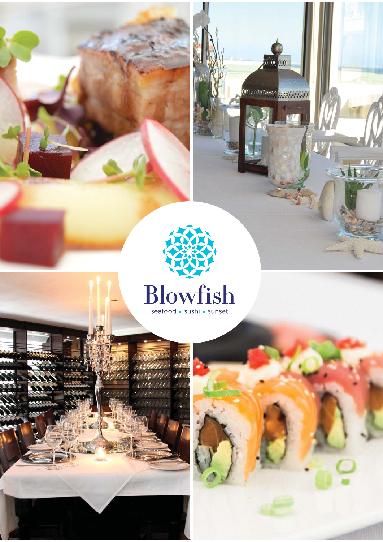

o wan

WELLIAMANY **ARRAIGH** 



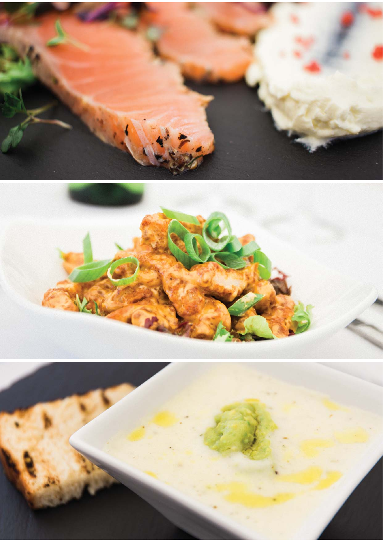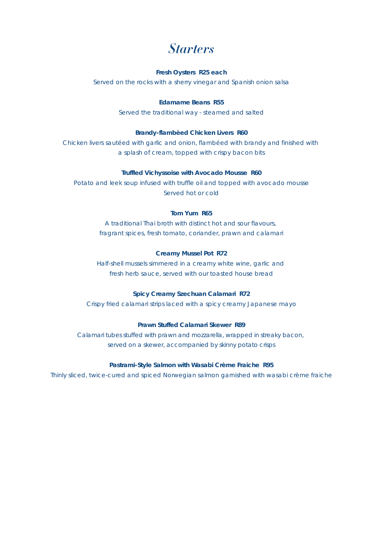

## **Fresh Oysters R25 each**

Served on the rocks with a sherry vinegar and Spanish onion salsa

## **Edamame Beans R55**

Served the traditional way - steamed and salted

## **Brandy-flambèed Chicken Livers R60**

Chicken livers sautéed with garlic and onion, flambéed with brandy and finished with a splash of cream, topped with crispy bacon bits

#### **Truffled Vichyssoise with Avocado Mousse R60**

Potato and leek soup infused with truffle oil and topped with avocado mousse Served hot or cold

#### **Tom Yum R65**

A traditional Thai broth with distinct hot and sour flavours, fragrant spices, fresh tomato, coriander, prawn and calamari

#### **Creamy Mussel Pot R72**

Half-shell mussels simmered in a creamy white wine, garlic and fresh herb sauce, served with our toasted house bread

#### **Spicy Creamy Szechuan Calamari R72**

Crispy fried calamari strips laced with a spicy creamy Japanese mayo

## **Prawn Stuffed Calamari Skewer R89**

Calamari tubes stuffed with prawn and mozzarella, wrapped in streaky bacon, served on a skewer, accompanied by skinny potato crisps

#### **Pastrami-Style Salmon with Wasabi Crème Fraiche R95**

Thinly sliced, twice-cured and spiced Norwegian salmon garnished with wasabi crème fraiche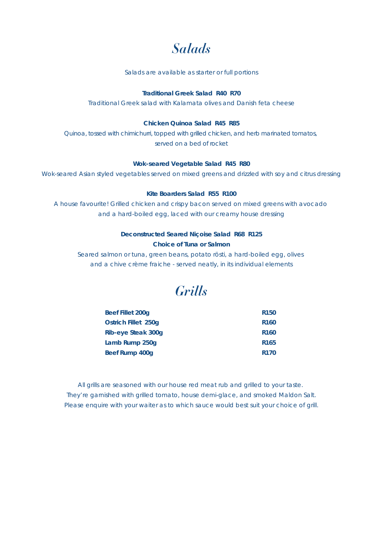

Salads are available as starter or full portions

## **Traditional Greek Salad R40 R70**

Traditional Greek salad with Kalamata olives and Danish feta cheese

## **Chicken Quinoa Salad R45 R85**

Quinoa, tossed with chimichurri, topped with grilled chicken, and herb marinated tomatos, served on a bed of rocket

#### **Wok-seared Vegetable Salad R45 R80**

Wok-seared Asian styled vegetables served on mixed greens and drizzled with soy and citrus dressing

## **Kite Boarders Salad R55 R100**

A house favourite! Grilled chicken and crispy bacon served on mixed greens with avocado and a hard-boiled egg, laced with our creamy house dressing

## **Deconstructed Seared Niçoise Salad R68 R125 Choice of Tuna or Salmon**

Seared salmon or tuna, green beans, potato rösti, a hard-boiled egg, olives and a chive crème fraiche - served neatly, in its individual elements

## *Grills*

| <b>Beef Fillet 200g</b>    | R <sub>150</sub> |
|----------------------------|------------------|
| <b>Ostrich Fillet 250g</b> | R <sub>160</sub> |
| Rib-eye Steak 300g         | R <sub>160</sub> |
| Lamb Rump 250g             | R <sub>165</sub> |
| Beef Rump 400q             | R <sub>170</sub> |

All grills are seasoned with our house red meat rub and grilled to your taste. They're garnished with grilled tomato, house demi-glace, and smoked Maldon Salt. Please enquire with your waiter as to which sauce would best suit your choice of grill.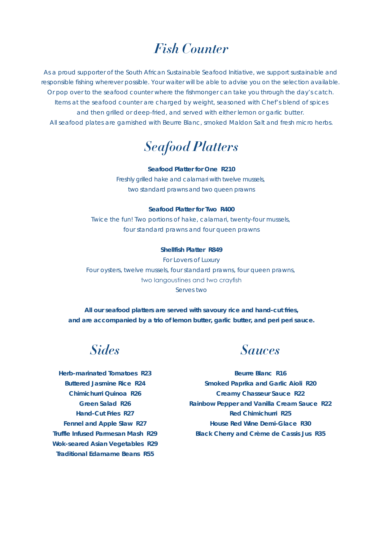# *Fish Counter*

As a proud supporter of the South African Sustainable Seafood Initiative, we support sustainable and responsible fishing wherever possible. Your waiter will be able to advise you on the selection available. Or pop over to the seafood counter where the fishmonger can take you through the day's catch. Items at the seafood counter are charged by weight, seasoned with Chef's blend of spices and then grilled or deep-fried, and served with either lemon or garlic butter. All seafood plates are garnished with Beurre Blanc, smoked Maldon Salt and fresh micro herbs.



#### **Seafood Platter for One R210**

Freshly grilled hake and calamari with twelve mussels, two standard prawns and two queen prawns

#### **Seafood Platter for Two R400**

Twice the fun! Two portions of hake, calamari, twenty-four mussels, four standard prawns and four queen prawns

#### **Shellfish Platter R849**

For Lovers of Luxury Four oysters, twelve mussels, four standard prawns, four queen prawns, two langoustines and two crayfish Serves two

**All our seafood platters are served with savoury rice and hand-cut fries, and are accompanied by a trio of lemon butter, garlic butter, and peri peri sauce.**

*Sides*

**Herb-marinated Tomatoes R23 Buttered Jasmine Rice R24 Chimichurri Quinoa R26 Green Salad R26 Hand-Cut Fries R27 Fennel and Apple Slaw R27 Truffle Infused Parmesan Mash R29 Wok-seared Asian Vegetables R29 Traditional Edamame Beans R55**



**Beurre Blanc R16 Smoked Paprika and Garlic Aioli R20 Creamy Chasseur Sauce R22 Rainbow Pepper and Vanilla Cream Sauce R22 Red Chimichurri R25 House Red Wine Demi-Glace R30 Black Cherry and Crème de Cassis Jus R35**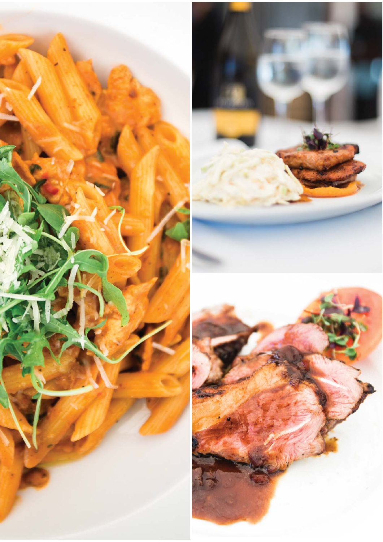

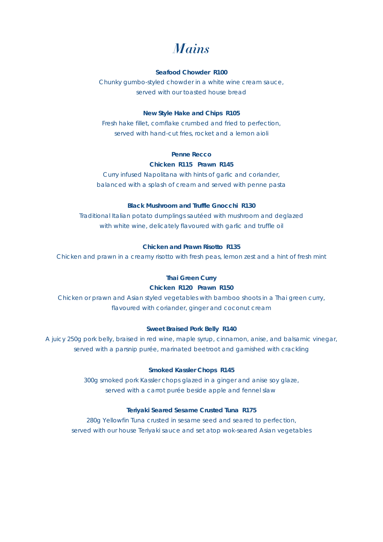# *Mains*

#### **Seafood Chowder R100**

Chunky gumbo-styled chowder in a white wine cream sauce, served with our toasted house bread

#### **New Style Hake and Chips R105**

Fresh hake fillet, cornflake crumbed and fried to perfection, served with hand-cut fries, rocket and a lemon aioli

## **Penne Recco**

#### **Chicken R115 Prawn R145**

Curry infused Napolitana with hints of garlic and coriander, balanced with a splash of cream and served with penne pasta

#### **Black Mushroom and Truffle Gnocchi R130**

Traditional Italian potato dumplings sautéed with mushroom and deglazed with white wine, delicately flavoured with garlic and truffle oil

#### **Chicken and Prawn Risotto R135**

Chicken and prawn in a creamy risotto with fresh peas, lemon zest and a hint of fresh mint

#### **Thai Green Curry**

#### **Chicken R120 Prawn R150**

Chicken or prawn and Asian styled vegetables with bamboo shoots in a Thai green curry, flavoured with coriander, ginger and coconut cream

#### **Sweet Braised Pork Belly R140**

A juicy 250g pork belly, braised in red wine, maple syrup, cinnamon, anise, and balsamic vinegar, served with a parsnip purée, marinated beetroot and garnished with crackling

#### **Smoked Kassler Chops R145**

300g smoked pork Kassler chops glazed in a ginger and anise soy glaze, served with a carrot purée beside apple and fennel slaw

#### **Teriyaki Seared Sesame Crusted Tuna R175**

280g Yellowfin Tuna crusted in sesame seed and seared to perfection, served with our house Teriyaki sauce and set atop wok-seared Asian vegetables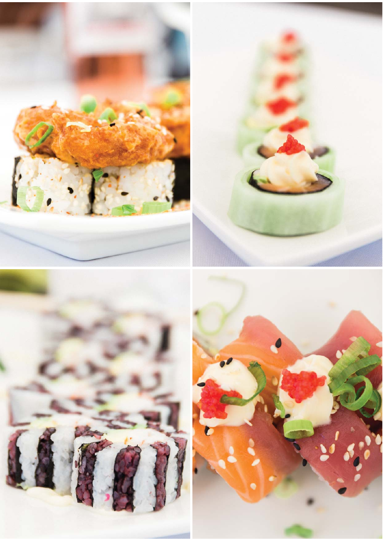





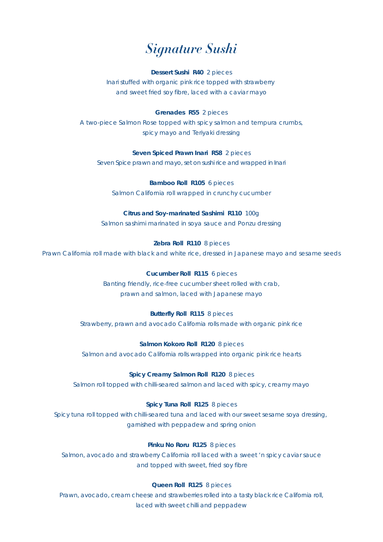# *Signature Sushi*

### **Dessert Sushi R40** *2 pieces*

Inari stuffed with organic pink rice topped with strawberry and sweet fried soy fibre, laced with a caviar mayo

### **Grenades R55** *2 pieces*

A two-piece Salmon Rose topped with spicy salmon and tempura crumbs, spicy mayo and Teriyaki dressing

## **Seven Spiced Prawn Inari R58** *2 pieces*

Seven Spice prawn and mayo, set on sushi rice and wrapped in Inari

**Bamboo Roll R105** *6 pieces* Salmon California roll wrapped in crunchy cucumber

## **Citrus and Soy-marinated Sashimi R110** *100g*

Salmon sashimi marinated in soya sauce and Ponzu dressing

## **Zebra Roll R110** *8 pieces*

Prawn California roll made with black and white rice, dressed in Japanese mayo and sesame seeds

## **Cucumber Roll R115** *6 pieces*

Banting friendly, rice-free cucumber sheet rolled with crab, prawn and salmon, laced with Japanese mayo

## **Butterfly Roll R115** *8 pieces*

Strawberry, prawn and avocado California rolls made with organic pink rice

**Salmon Kokoro Roll R120** *8 pieces* Salmon and avocado California rolls wrapped into organic pink rice hearts

**Spicy Creamy Salmon Roll R120** *8 pieces*

Salmon roll topped with chilli-seared salmon and laced with spicy, creamy mayo

## **Spicy Tuna Roll R125** *8 pieces*

Spicy tuna roll topped with chilli-seared tuna and laced with our sweet sesame soya dressing, garnished with peppadew and spring onion

## **Pinku No Roru R125** *8 pieces*

Salmon, avocado and strawberry California roll laced with a sweet 'n spicy caviar sauce and topped with sweet, fried soy fibre

## **Queen Roll R125** *8 pieces*

Prawn, avocado, cream cheese and strawberries rolled into a tasty black rice California roll, laced with sweet chilli and peppadew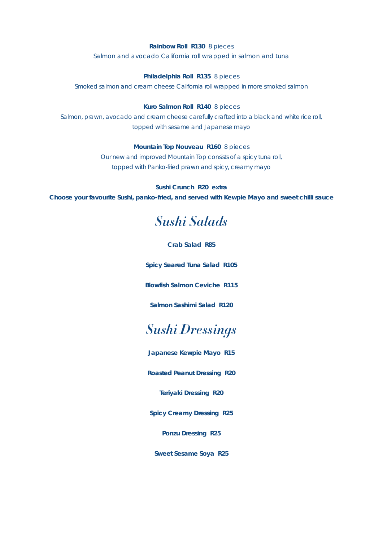## **Rainbow Roll R130** *8 pieces*

Salmon and avocado California roll wrapped in salmon and tuna

## **Philadelphia Roll R135** *8 pieces*

Smoked salmon and cream cheese California roll wrapped in more smoked salmon

#### **Kuro Salmon Roll R140** *8 pieces*

Salmon, prawn, avocado and cream cheese carefully crafted into a black and white rice roll, topped with sesame and Japanese mayo

### **Mountain Top Nouveau R160** *8 pieces*

Our new and improved Mountain Top consists of a spicy tuna roll, topped with Panko-fried prawn and spicy, creamy mayo

*Sushi Crunch R20 extra Choose your favourite Sushi, panko-fried, and served with Kewpie Mayo and sweet chilli sauce*

# *Sushi Salads*

**Crab Salad R85**

**Spicy Seared Tuna Salad R105**

**Blowfish Salmon Ceviche R115**

**Salmon Sashimi Salad R120**



**Japanese Kewpie Mayo R15**

**Roasted Peanut Dressing R20**

**Teriyaki Dressing R20**

**Spicy Creamy Dressing R25**

**Ponzu Dressing R25**

**Sweet Sesame Soya R25**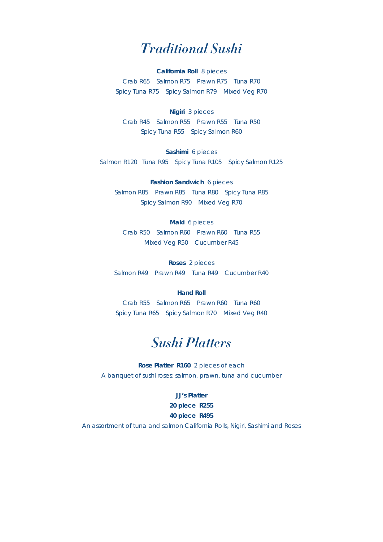## *Traditional Sushi*

#### **California Roll** *8 pieces*

Crab R65 Salmon R75 Prawn R75 Tuna R70 Spicy Tuna R75 Spicy Salmon R79 Mixed Veg R70

**Nigiri** *3 pieces* Crab R45 Salmon R55 Prawn R55 Tuna R50 Spicy Tuna R55 Spicy Salmon R60

**Sashimi** *6 pieces*

Salmon R120 Tuna R95 Spicy Tuna R105 Spicy Salmon R125

**Fashion Sandwich** *6 pieces* Salmon R85 Prawn R85 Tuna R80 Spicy Tuna R85 Spicy Salmon R90 Mixed Veg R70

## **Maki** *6 pieces*

Crab R50 Salmon R60 Prawn R60 Tuna R55 Mixed Veg R50 Cucumber R45

**Roses** *2 pieces* Salmon R49 Prawn R49 Tuna R49 Cucumber R40

#### **Hand Roll**

Crab R55 Salmon R65 Prawn R60 Tuna R60 Spicy Tuna R65 Spicy Salmon R70 Mixed Veg R40

## *Sushi Platters*

**Rose Platter R160** *2 pieces of each* A banquet of sushi roses: salmon, prawn, tuna and cucumber

> **JJ's Platter 20 piece R255 40 piece R495**

An assortment of tuna and salmon California Rolls, Nigiri, Sashimi and Roses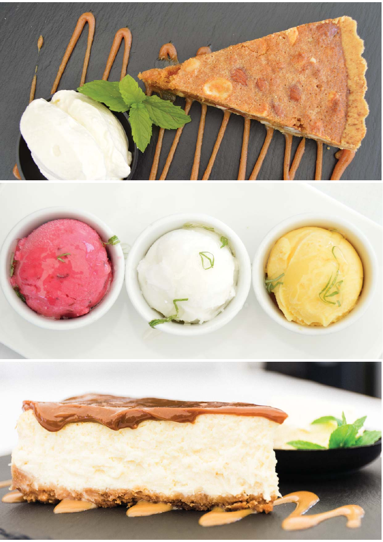